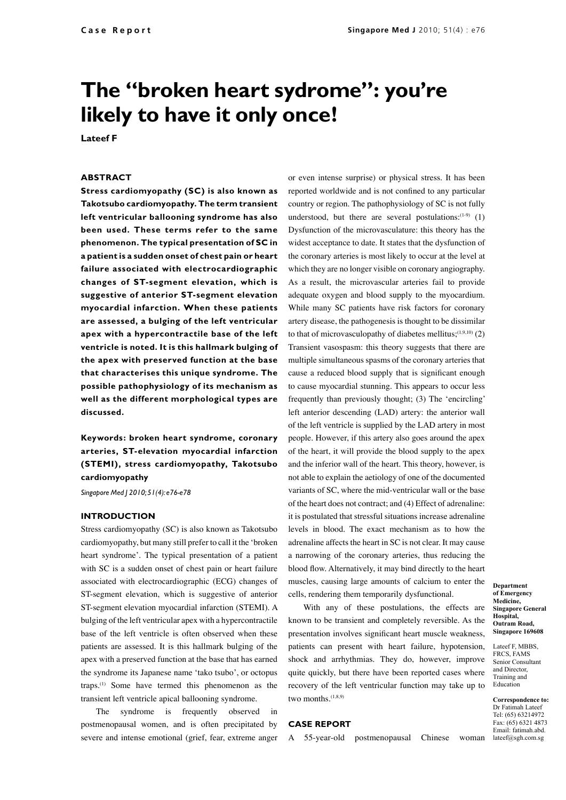# **The "broken heart sydrome": you're likely to have it only once!**

**Lateef F**

#### **ABSTRACT**

**Stress cardiomyopathy (SC) is also known as Takotsubo cardiomyopathy. The term transient left ventricular ballooning syndrome has also been used. These terms refer to the same phenomenon. The typical presentation of SC in a patient is a sudden onset of chest pain or heart failure associated with electrocardiographic changes of ST-segment elevation, which is suggestive of anterior ST-segment elevation myocardial infarction. When these patients are assessed, a bulging of the left ventricular apex with a hypercontractile base of the left ventricle is noted. It is this hallmark bulging of the apex with preserved function at the base that characterises this unique syndrome. The possible pathophysiology of its mechanism as well as the different morphological types are discussed.**

**Keywords: broken heart syndrome, coronary arteries, ST-elevation myocardial infarction (STEMI), stress cardiomyopathy, Takotsubo cardiomyopathy** 

*Singapore Med J 2010; 51(4): e76-e78*

### **INTRODUCTION**

Stress cardiomyopathy (SC) is also known as Takotsubo cardiomyopathy, but many still prefer to call it the 'broken heart syndrome'. The typical presentation of a patient with SC is a sudden onset of chest pain or heart failure associated with electrocardiographic (ECG) changes of ST-segment elevation, which is suggestive of anterior ST-segment elevation myocardial infarction (STEMI). A bulging of the left ventricular apex with a hypercontractile base of the left ventricle is often observed when these patients are assessed. It is this hallmark bulging of the apex with a preserved function at the base that has earned the syndrome its Japanese name 'tako tsubo', or octopus traps.(1) Some have termed this phenomenon as the transient left ventricle apical ballooning syndrome.

The syndrome is frequently observed in postmenopausal women, and is often precipitated by severe and intense emotional (grief, fear, extreme anger

or even intense surprise) or physical stress. It has been reported worldwide and is not confined to any particular country or region. The pathophysiology of SC is not fully understood, but there are several postulations: $(1-9)$  (1) Dysfunction of the microvasculature: this theory has the widest acceptance to date. It states that the dysfunction of the coronary arteries is most likely to occur at the level at which they are no longer visible on coronary angiography. As a result, the microvascular arteries fail to provide adequate oxygen and blood supply to the myocardium. While many SC patients have risk factors for coronary artery disease, the pathogenesis is thought to be dissimilar to that of microvasculopathy of diabetes mellitus; $(1,9,10)$  (2) Transient vasospasm: this theory suggests that there are multiple simultaneous spasms of the coronary arteries that cause a reduced blood supply that is significant enough to cause myocardial stunning. This appears to occur less frequently than previously thought; (3) The 'encircling' left anterior descending (LAD) artery: the anterior wall of the left ventricle is supplied by the LAD artery in most people. However, if this artery also goes around the apex of the heart, it will provide the blood supply to the apex and the inferior wall of the heart. This theory, however, is not able to explain the aetiology of one of the documented variants of SC, where the mid-ventricular wall or the base of the heart does not contract; and (4) Effect of adrenaline: it is postulated that stressful situations increase adrenaline levels in blood. The exact mechanism as to how the adrenaline affects the heart in SC is not clear. It may cause a narrowing of the coronary arteries, thus reducing the blood flow. Alternatively, it may bind directly to the heart muscles, causing large amounts of calcium to enter the cells, rendering them temporarily dysfunctional.

With any of these postulations, the effects are known to be transient and completely reversible. As the presentation involves significant heart muscle weakness, patients can present with heart failure, hypotension, shock and arrhythmias. They do, however, improve quite quickly, but there have been reported cases where recovery of the left ventricular function may take up to two months.<sup>(1,8,9)</sup>

#### **CASE REPORT**

A 55-year-old postmenopausal Chinese woman

**Department of Emergency Medicine, Singapore General Hospital, Outram Road, Singapore 169608**

Lateef F, MBBS, FRCS, FAMS Senior Consultant and Director, Training and Education

**Correspondence to:** Dr Fatimah Lateef Tel: (65) 63214972 Fax: (65) 6321 4873 Email: fatimah.abd. lateef@sgh.com.sg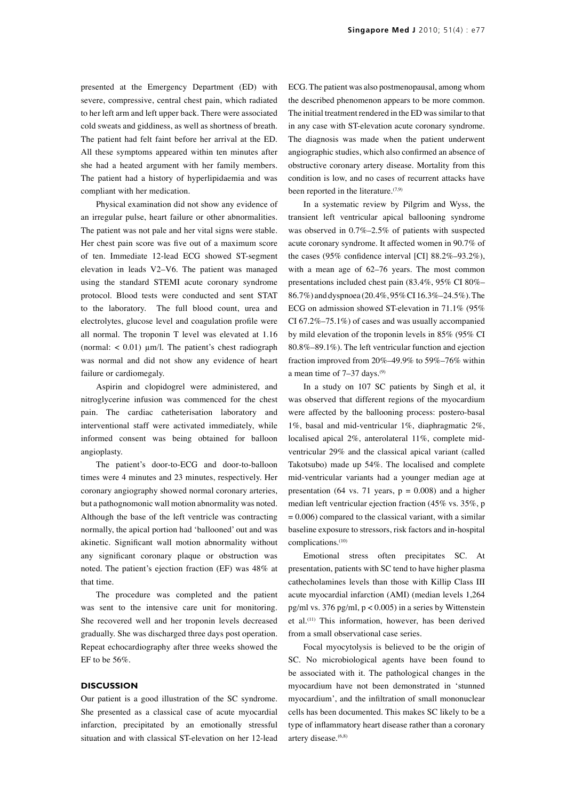presented at the Emergency Department (ED) with severe, compressive, central chest pain, which radiated to her left arm and left upper back. There were associated cold sweats and giddiness, as well as shortness of breath. The patient had felt faint before her arrival at the ED. All these symptoms appeared within ten minutes after she had a heated argument with her family members. The patient had a history of hyperlipidaemia and was compliant with her medication.

Physical examination did not show any evidence of an irregular pulse, heart failure or other abnormalities. The patient was not pale and her vital signs were stable. Her chest pain score was five out of a maximum score of ten. Immediate 12-lead ECG showed ST-segment elevation in leads V2–V6. The patient was managed using the standard STEMI acute coronary syndrome protocol. Blood tests were conducted and sent STAT to the laboratory. The full blood count, urea and electrolytes, glucose level and coagulation profile were all normal. The troponin T level was elevated at 1.16 (normal:  $< 0.01$ )  $\mu$ m/l. The patient's chest radiograph was normal and did not show any evidence of heart failure or cardiomegaly.

Aspirin and clopidogrel were administered, and nitroglycerine infusion was commenced for the chest pain. The cardiac catheterisation laboratory and interventional staff were activated immediately, while informed consent was being obtained for balloon angioplasty.

The patient's door-to-ECG and door-to-balloon times were 4 minutes and 23 minutes, respectively. Her coronary angiography showed normal coronary arteries, but a pathognomonic wall motion abnormality was noted. Although the base of the left ventricle was contracting normally, the apical portion had 'ballooned' out and was akinetic. Significant wall motion abnormality without any significant coronary plaque or obstruction was noted. The patient's ejection fraction (EF) was 48% at that time.

The procedure was completed and the patient was sent to the intensive care unit for monitoring. She recovered well and her troponin levels decreased gradually. She was discharged three days post operation. Repeat echocardiography after three weeks showed the EF to be 56%.

## **DISCUSSION**

Our patient is a good illustration of the SC syndrome. She presented as a classical case of acute myocardial infarction, precipitated by an emotionally stressful situation and with classical ST-elevation on her 12-lead ECG. The patient was also postmenopausal, among whom the described phenomenon appears to be more common. The initial treatment rendered in the ED was similar to that in any case with ST-elevation acute coronary syndrome. The diagnosis was made when the patient underwent angiographic studies, which also confirmed an absence of obstructive coronary artery disease. Mortality from this condition is low, and no cases of recurrent attacks have been reported in the literature.(7,9)

In a systematic review by Pilgrim and Wyss, the transient left ventricular apical ballooning syndrome was observed in 0.7%–2.5% of patients with suspected acute coronary syndrome. It affected women in 90.7% of the cases (95% confidence interval [CI] 88.2%–93.2%), with a mean age of 62–76 years. The most common presentations included chest pain (83.4%, 95% CI 80%– 86.7%) and dyspnoea (20.4%, 95% CI 16.3%–24.5%). The ECG on admission showed ST-elevation in 71.1% (95% CI 67.2%–75.1%) of cases and was usually accompanied by mild elevation of the troponin levels in 85% (95% CI 80.8%–89.1%). The left ventricular function and ejection fraction improved from 20%–49.9% to 59%–76% within a mean time of  $7-37$  days.<sup>(9)</sup>

In a study on 107 SC patients by Singh et al, it was observed that different regions of the myocardium were affected by the ballooning process: postero-basal 1%, basal and mid-ventricular 1%, diaphragmatic 2%, localised apical 2%, anterolateral 11%, complete midventricular 29% and the classical apical variant (called Takotsubo) made up 54%. The localised and complete mid-ventricular variants had a younger median age at presentation (64 vs. 71 years,  $p = 0.008$ ) and a higher median left ventricular ejection fraction (45% vs. 35%, p  $= 0.006$ ) compared to the classical variant, with a similar baseline exposure to stressors, risk factors and in-hospital complications.(10)

Emotional stress often precipitates SC. At presentation, patients with SC tend to have higher plasma cathecholamines levels than those with Killip Class III acute myocardial infarction (AMI) (median levels 1,264 pg/ml vs. 376 pg/ml, p < 0.005) in a series by Wittenstein et al.(11) This information, however, has been derived from a small observational case series.

Focal myocytolysis is believed to be the origin of SC. No microbiological agents have been found to be associated with it. The pathological changes in the myocardium have not been demonstrated in 'stunned myocardium', and the infiltration of small mononuclear cells has been documented. This makes SC likely to be a type of inflammatory heart disease rather than a coronary artery disease.<sup>(6,8)</sup>